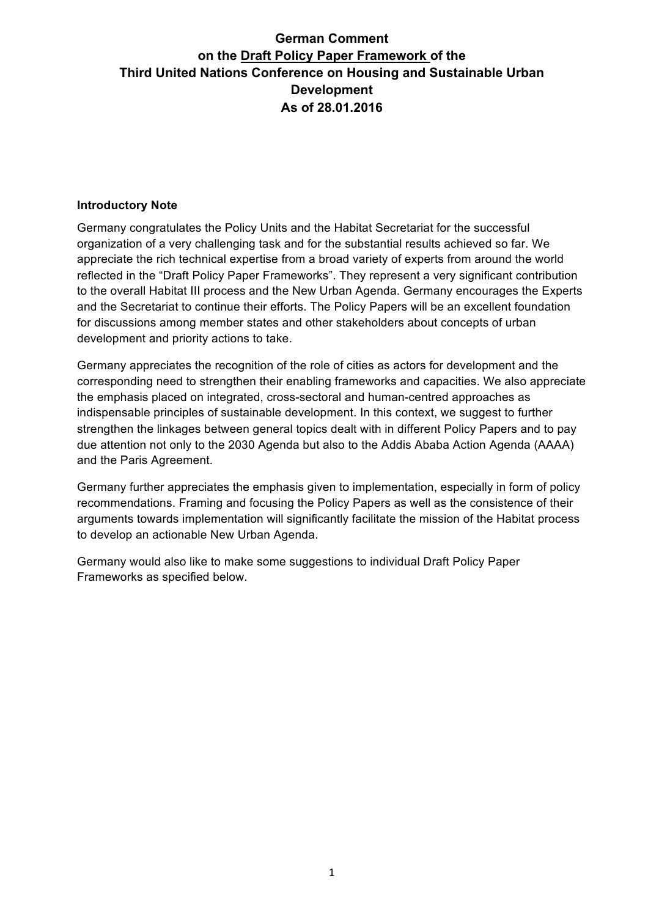#### **Introductory Note**

Germany congratulates the Policy Units and the Habitat Secretariat for the successful organization of a very challenging task and for the substantial results achieved so far. We appreciate the rich technical expertise from a broad variety of experts from around the world reflected in the "Draft Policy Paper Frameworks". They represent a very significant contribution to the overall Habitat III process and the New Urban Agenda. Germany encourages the Experts and the Secretariat to continue their efforts. The Policy Papers will be an excellent foundation for discussions among member states and other stakeholders about concepts of urban development and priority actions to take.

Germany appreciates the recognition of the role of cities as actors for development and the corresponding need to strengthen their enabling frameworks and capacities. We also appreciate the emphasis placed on integrated, cross-sectoral and human-centred approaches as indispensable principles of sustainable development. In this context, we suggest to further strengthen the linkages between general topics dealt with in different Policy Papers and to pay due attention not only to the 2030 Agenda but also to the Addis Ababa Action Agenda (AAAA) and the Paris Agreement.

Germany further appreciates the emphasis given to implementation, especially in form of policy recommendations. Framing and focusing the Policy Papers as well as the consistence of their arguments towards implementation will significantly facilitate the mission of the Habitat process to develop an actionable New Urban Agenda.

Germany would also like to make some suggestions to individual Draft Policy Paper Frameworks as specified below.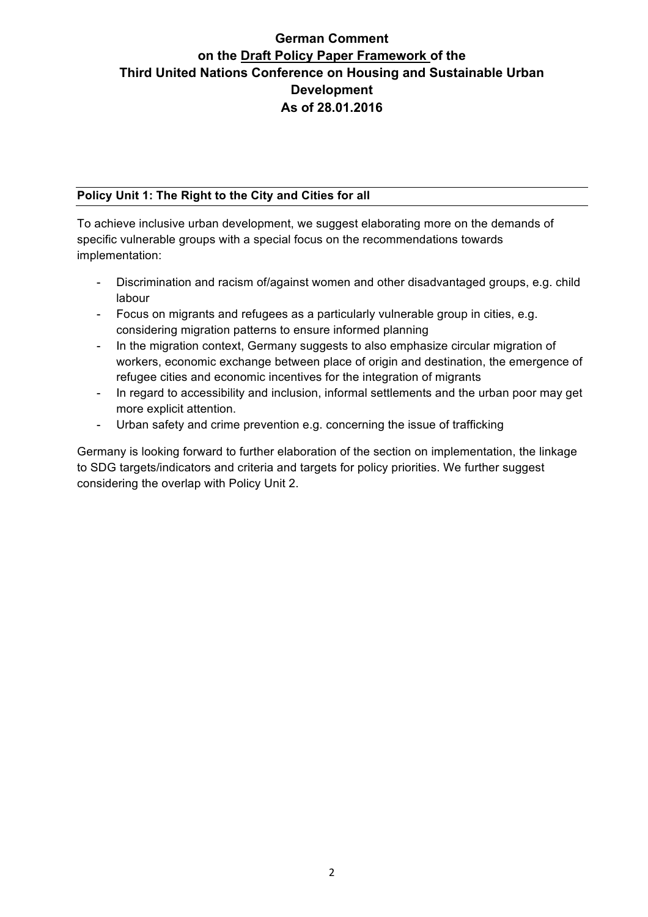#### **Policy Unit 1: The Right to the City and Cities for all**

To achieve inclusive urban development, we suggest elaborating more on the demands of specific vulnerable groups with a special focus on the recommendations towards implementation:

- Discrimination and racism of/against women and other disadvantaged groups, e.g. child labour
- Focus on migrants and refugees as a particularly vulnerable group in cities, e.g. considering migration patterns to ensure informed planning
- In the migration context, Germany suggests to also emphasize circular migration of workers, economic exchange between place of origin and destination, the emergence of refugee cities and economic incentives for the integration of migrants
- In regard to accessibility and inclusion, informal settlements and the urban poor may get more explicit attention.
- Urban safety and crime prevention e.g. concerning the issue of trafficking

Germany is looking forward to further elaboration of the section on implementation, the linkage to SDG targets/indicators and criteria and targets for policy priorities. We further suggest considering the overlap with Policy Unit 2.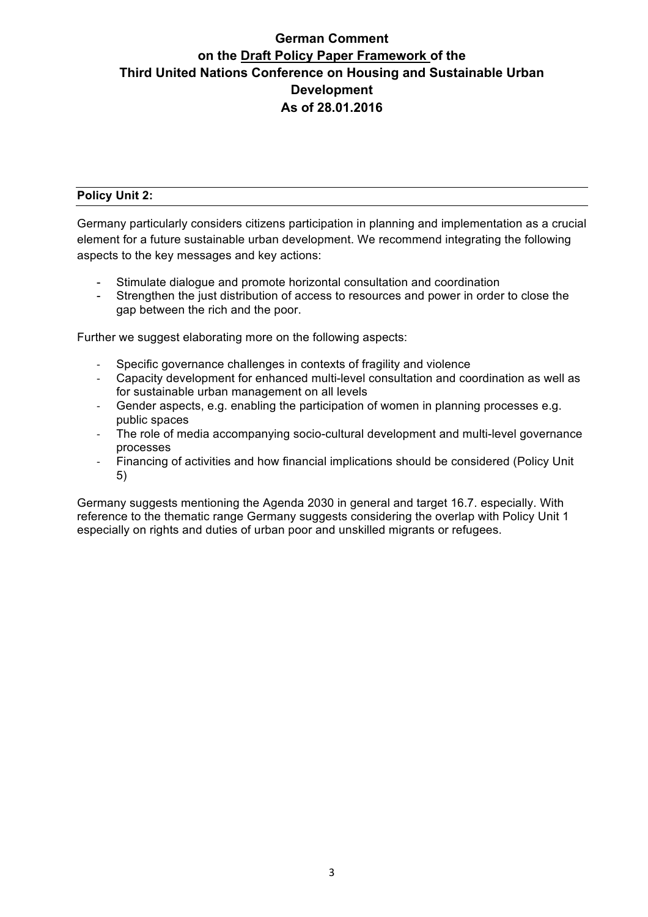#### **Policy Unit 2:**

Germany particularly considers citizens participation in planning and implementation as a crucial element for a future sustainable urban development. We recommend integrating the following aspects to the key messages and key actions:

- Stimulate dialogue and promote horizontal consultation and coordination
- Strengthen the just distribution of access to resources and power in order to close the gap between the rich and the poor.

Further we suggest elaborating more on the following aspects:

- Specific governance challenges in contexts of fragility and violence
- Capacity development for enhanced multi-level consultation and coordination as well as for sustainable urban management on all levels
- Gender aspects, e.g. enabling the participation of women in planning processes e.g. public spaces
- The role of media accompanying socio-cultural development and multi-level governance processes
- Financing of activities and how financial implications should be considered (Policy Unit 5)

Germany suggests mentioning the Agenda 2030 in general and target 16.7. especially. With reference to the thematic range Germany suggests considering the overlap with Policy Unit 1 especially on rights and duties of urban poor and unskilled migrants or refugees.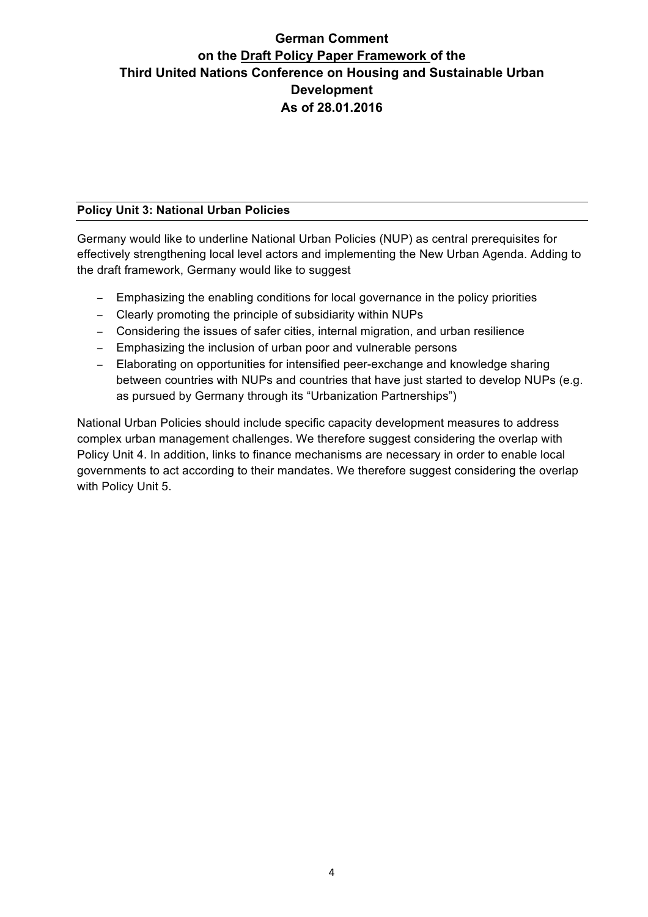#### **Policy Unit 3: National Urban Policies**

Germany would like to underline National Urban Policies (NUP) as central prerequisites for effectively strengthening local level actors and implementing the New Urban Agenda. Adding to the draft framework, Germany would like to suggest

- − Emphasizing the enabling conditions for local governance in the policy priorities
- − Clearly promoting the principle of subsidiarity within NUPs
- − Considering the issues of safer cities, internal migration, and urban resilience
- − Emphasizing the inclusion of urban poor and vulnerable persons
- − Elaborating on opportunities for intensified peer-exchange and knowledge sharing between countries with NUPs and countries that have just started to develop NUPs (e.g. as pursued by Germany through its "Urbanization Partnerships")

National Urban Policies should include specific capacity development measures to address complex urban management challenges. We therefore suggest considering the overlap with Policy Unit 4. In addition, links to finance mechanisms are necessary in order to enable local governments to act according to their mandates. We therefore suggest considering the overlap with Policy Unit 5.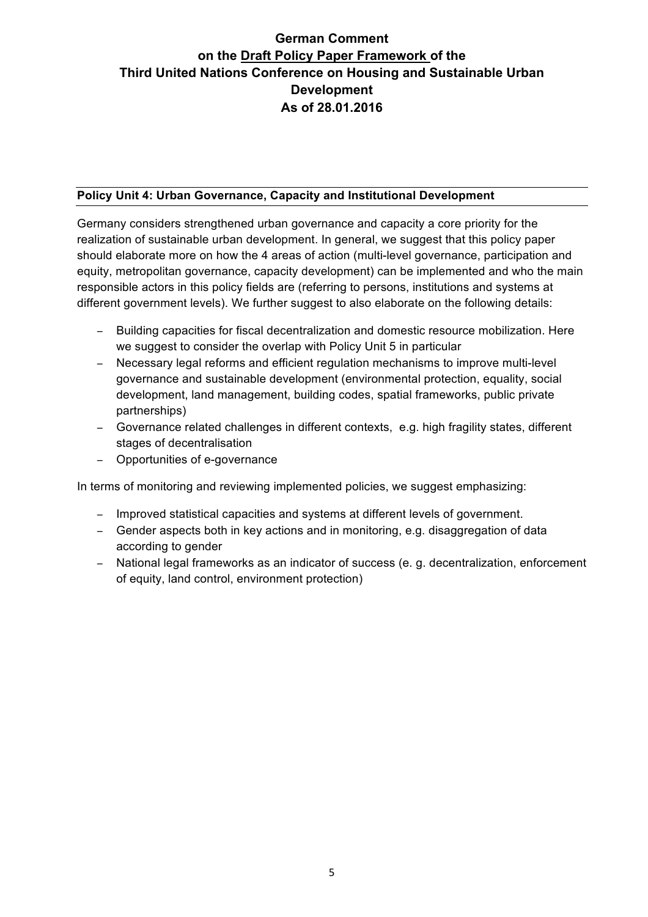#### **Policy Unit 4: Urban Governance, Capacity and Institutional Development**

Germany considers strengthened urban governance and capacity a core priority for the realization of sustainable urban development. In general, we suggest that this policy paper should elaborate more on how the 4 areas of action (multi-level governance, participation and equity, metropolitan governance, capacity development) can be implemented and who the main responsible actors in this policy fields are (referring to persons, institutions and systems at different government levels). We further suggest to also elaborate on the following details:

- − Building capacities for fiscal decentralization and domestic resource mobilization. Here we suggest to consider the overlap with Policy Unit 5 in particular
- − Necessary legal reforms and efficient regulation mechanisms to improve multi-level governance and sustainable development (environmental protection, equality, social development, land management, building codes, spatial frameworks, public private partnerships)
- − Governance related challenges in different contexts, e.g. high fragility states, different stages of decentralisation
- − Opportunities of e-governance

In terms of monitoring and reviewing implemented policies, we suggest emphasizing:

- − Improved statistical capacities and systems at different levels of government.
- − Gender aspects both in key actions and in monitoring, e.g. disaggregation of data according to gender
- − National legal frameworks as an indicator of success (e. g. decentralization, enforcement of equity, land control, environment protection)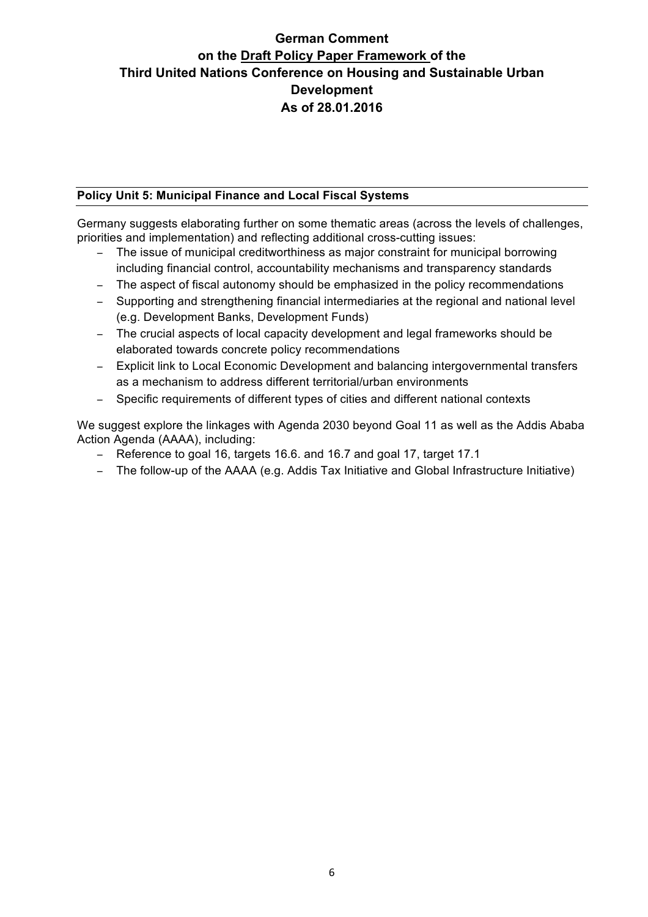#### **Policy Unit 5: Municipal Finance and Local Fiscal Systems**

Germany suggests elaborating further on some thematic areas (across the levels of challenges, priorities and implementation) and reflecting additional cross-cutting issues:

- − The issue of municipal creditworthiness as major constraint for municipal borrowing including financial control, accountability mechanisms and transparency standards
- − The aspect of fiscal autonomy should be emphasized in the policy recommendations
- − Supporting and strengthening financial intermediaries at the regional and national level (e.g. Development Banks, Development Funds)
- − The crucial aspects of local capacity development and legal frameworks should be elaborated towards concrete policy recommendations
- − Explicit link to Local Economic Development and balancing intergovernmental transfers as a mechanism to address different territorial/urban environments
- − Specific requirements of different types of cities and different national contexts

We suggest explore the linkages with Agenda 2030 beyond Goal 11 as well as the Addis Ababa Action Agenda (AAAA), including:

- − Reference to goal 16, targets 16.6. and 16.7 and goal 17, target 17.1
- − The follow-up of the AAAA (e.g. Addis Tax Initiative and Global Infrastructure Initiative)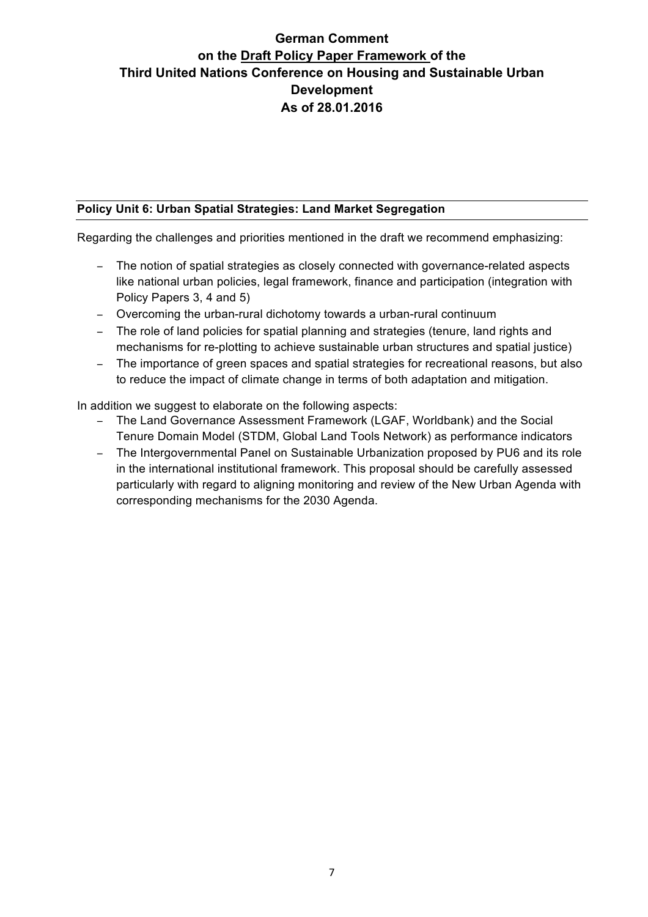#### **Policy Unit 6: Urban Spatial Strategies: Land Market Segregation**

Regarding the challenges and priorities mentioned in the draft we recommend emphasizing:

- − The notion of spatial strategies as closely connected with governance-related aspects like national urban policies, legal framework, finance and participation (integration with Policy Papers 3, 4 and 5)
- − Overcoming the urban-rural dichotomy towards a urban-rural continuum
- − The role of land policies for spatial planning and strategies (tenure, land rights and mechanisms for re-plotting to achieve sustainable urban structures and spatial justice)
- − The importance of green spaces and spatial strategies for recreational reasons, but also to reduce the impact of climate change in terms of both adaptation and mitigation.

In addition we suggest to elaborate on the following aspects:

- − The Land Governance Assessment Framework (LGAF, Worldbank) and the Social Tenure Domain Model (STDM, Global Land Tools Network) as performance indicators
- − The Intergovernmental Panel on Sustainable Urbanization proposed by PU6 and its role in the international institutional framework. This proposal should be carefully assessed particularly with regard to aligning monitoring and review of the New Urban Agenda with corresponding mechanisms for the 2030 Agenda.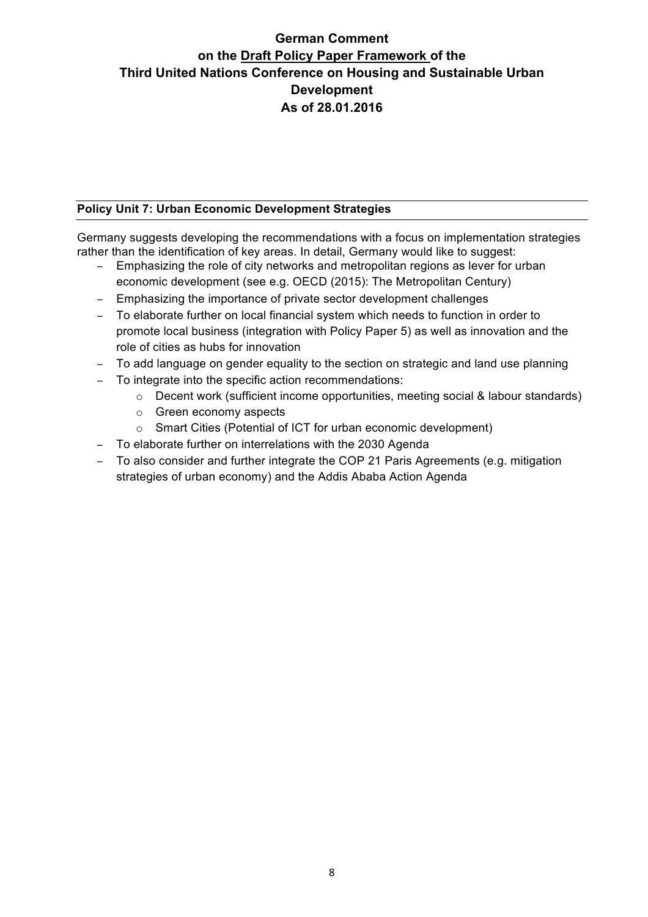#### **Policy Unit 7: Urban Economic Development Strategies**

Germany suggests developing the recommendations with a focus on implementation strategies rather than the identification of key areas. In detail, Germany would like to suggest:

- − Emphasizing the role of city networks and metropolitan regions as lever for urban economic development (see e.g. OECD (2015): The Metropolitan Century)
- − Emphasizing the importance of private sector development challenges
- − To elaborate further on local financial system which needs to function in order to promote local business (integration with Policy Paper 5) as well as innovation and the role of cities as hubs for innovation
- − To add language on gender equality to the section on strategic and land use planning
- − To integrate into the specific action recommendations:
	- o Decent work (sufficient income opportunities, meeting social & labour standards)
	- o Green economy aspects
	- o Smart Cities (Potential of ICT for urban economic development)
- − To elaborate further on interrelations with the 2030 Agenda
- − To also consider and further integrate the COP 21 Paris Agreements (e.g. mitigation strategies of urban economy) and the Addis Ababa Action Agenda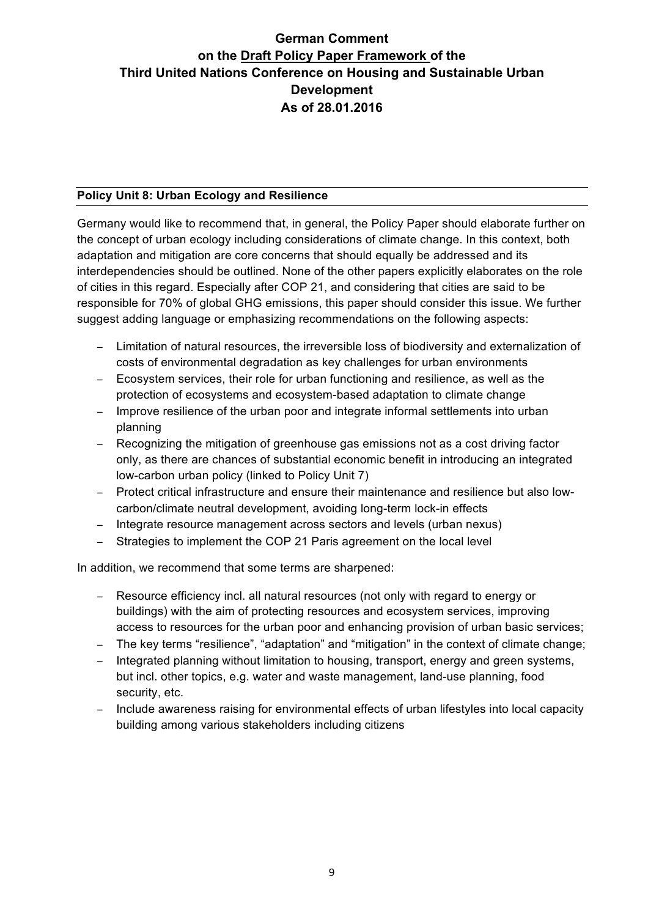#### **Policy Unit 8: Urban Ecology and Resilience**

Germany would like to recommend that, in general, the Policy Paper should elaborate further on the concept of urban ecology including considerations of climate change. In this context, both adaptation and mitigation are core concerns that should equally be addressed and its interdependencies should be outlined. None of the other papers explicitly elaborates on the role of cities in this regard. Especially after COP 21, and considering that cities are said to be responsible for 70% of global GHG emissions, this paper should consider this issue. We further suggest adding language or emphasizing recommendations on the following aspects:

- − Limitation of natural resources, the irreversible loss of biodiversity and externalization of costs of environmental degradation as key challenges for urban environments
- − Ecosystem services, their role for urban functioning and resilience, as well as the protection of ecosystems and ecosystem-based adaptation to climate change
- − Improve resilience of the urban poor and integrate informal settlements into urban planning
- − Recognizing the mitigation of greenhouse gas emissions not as a cost driving factor only, as there are chances of substantial economic benefit in introducing an integrated low-carbon urban policy (linked to Policy Unit 7)
- − Protect critical infrastructure and ensure their maintenance and resilience but also lowcarbon/climate neutral development, avoiding long-term lock-in effects
- − Integrate resource management across sectors and levels (urban nexus)
- − Strategies to implement the COP 21 Paris agreement on the local level

In addition, we recommend that some terms are sharpened:

- − Resource efficiency incl. all natural resources (not only with regard to energy or buildings) with the aim of protecting resources and ecosystem services, improving access to resources for the urban poor and enhancing provision of urban basic services;
- − The key terms "resilience", "adaptation" and "mitigation" in the context of climate change;
- − Integrated planning without limitation to housing, transport, energy and green systems, but incl. other topics, e.g. water and waste management, land-use planning, food security, etc.
- − Include awareness raising for environmental effects of urban lifestyles into local capacity building among various stakeholders including citizens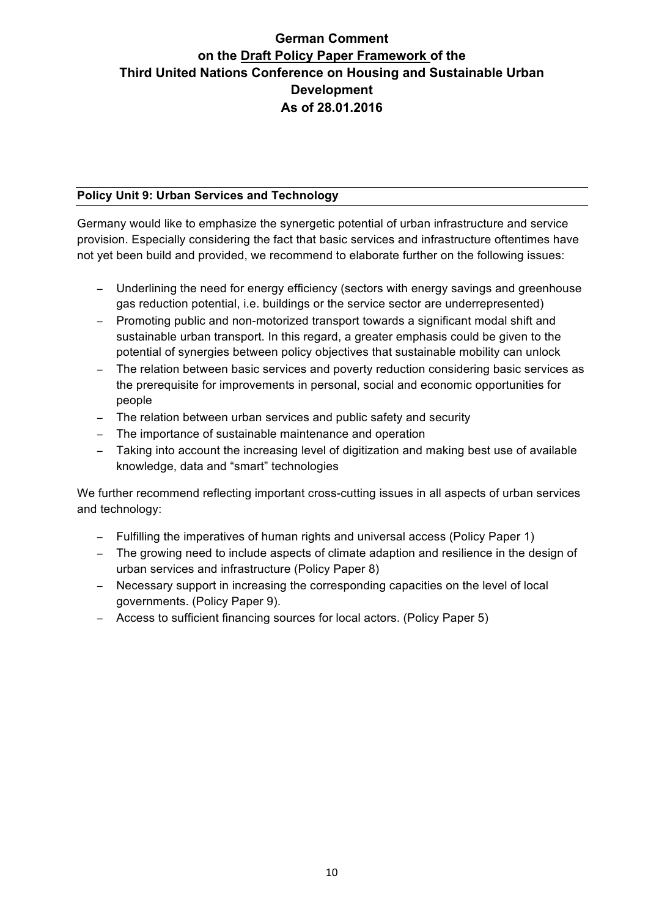#### **Policy Unit 9: Urban Services and Technology**

Germany would like to emphasize the synergetic potential of urban infrastructure and service provision. Especially considering the fact that basic services and infrastructure oftentimes have not yet been build and provided, we recommend to elaborate further on the following issues:

- − Underlining the need for energy efficiency (sectors with energy savings and greenhouse gas reduction potential, i.e. buildings or the service sector are underrepresented)
- − Promoting public and non-motorized transport towards a significant modal shift and sustainable urban transport. In this regard, a greater emphasis could be given to the potential of synergies between policy objectives that sustainable mobility can unlock
- − The relation between basic services and poverty reduction considering basic services as the prerequisite for improvements in personal, social and economic opportunities for people
- − The relation between urban services and public safety and security
- − The importance of sustainable maintenance and operation
- − Taking into account the increasing level of digitization and making best use of available knowledge, data and "smart" technologies

We further recommend reflecting important cross-cutting issues in all aspects of urban services and technology:

- − Fulfilling the imperatives of human rights and universal access (Policy Paper 1)
- − The growing need to include aspects of climate adaption and resilience in the design of urban services and infrastructure (Policy Paper 8)
- − Necessary support in increasing the corresponding capacities on the level of local governments. (Policy Paper 9).
- − Access to sufficient financing sources for local actors. (Policy Paper 5)